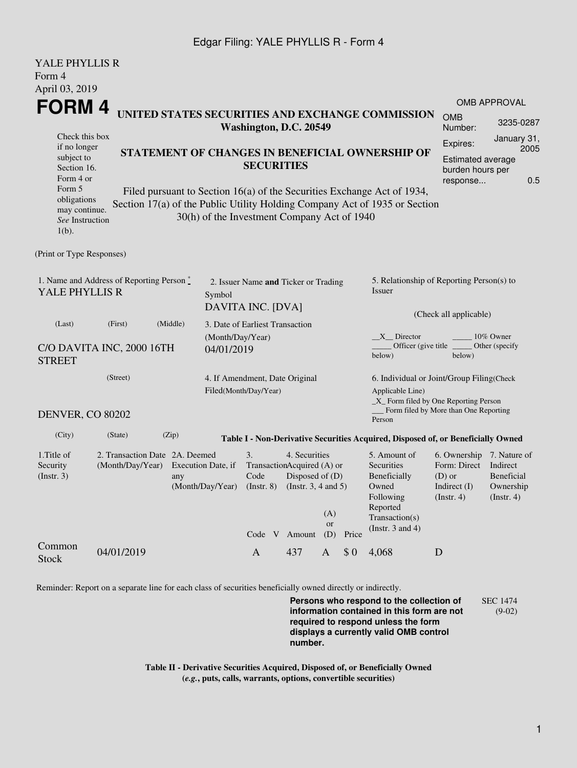## Edgar Filing: YALE PHYLLIS R - Form 4

| YALE PHYLLIS R                                   |                                           |                                             |                                                         |                                                       |                                             |                                                                   |                                                            |                                                                                  |                                       |                  |  |  |
|--------------------------------------------------|-------------------------------------------|---------------------------------------------|---------------------------------------------------------|-------------------------------------------------------|---------------------------------------------|-------------------------------------------------------------------|------------------------------------------------------------|----------------------------------------------------------------------------------|---------------------------------------|------------------|--|--|
| Form 4                                           |                                           |                                             |                                                         |                                                       |                                             |                                                                   |                                                            |                                                                                  |                                       |                  |  |  |
| April 03, 2019                                   |                                           |                                             |                                                         |                                                       |                                             |                                                                   |                                                            |                                                                                  |                                       |                  |  |  |
| FORM 4                                           |                                           |                                             |                                                         |                                                       |                                             |                                                                   |                                                            |                                                                                  | <b>OMB APPROVAL</b>                   |                  |  |  |
| UNITED STATES SECURITIES AND EXCHANGE COMMISSION |                                           |                                             |                                                         |                                                       |                                             |                                                                   | <b>OMB</b>                                                 |                                                                                  |                                       |                  |  |  |
|                                                  |                                           |                                             |                                                         | Washington, D.C. 20549                                |                                             |                                                                   |                                                            |                                                                                  | Number:                               | 3235-0287        |  |  |
| Check this box<br>if no longer                   |                                           |                                             |                                                         |                                                       |                                             |                                                                   |                                                            |                                                                                  | Expires:                              | January 31,      |  |  |
| subject to                                       |                                           |                                             |                                                         | STATEMENT OF CHANGES IN BENEFICIAL OWNERSHIP OF       |                                             |                                                                   |                                                            | <b>Estimated average</b>                                                         | 2005                                  |                  |  |  |
| Section 16.                                      | <b>SECURITIES</b>                         |                                             |                                                         |                                                       |                                             |                                                                   |                                                            |                                                                                  |                                       | burden hours per |  |  |
| Form 4 or                                        |                                           |                                             |                                                         |                                                       |                                             |                                                                   |                                                            |                                                                                  | response                              | 0.5              |  |  |
| Form 5<br>obligations                            |                                           |                                             |                                                         |                                                       |                                             |                                                                   |                                                            | Filed pursuant to Section 16(a) of the Securities Exchange Act of 1934,          |                                       |                  |  |  |
| may continue.                                    |                                           |                                             |                                                         |                                                       |                                             |                                                                   |                                                            | Section 17(a) of the Public Utility Holding Company Act of 1935 or Section       |                                       |                  |  |  |
| See Instruction                                  |                                           | 30(h) of the Investment Company Act of 1940 |                                                         |                                                       |                                             |                                                                   |                                                            |                                                                                  |                                       |                  |  |  |
| $1(b)$ .                                         |                                           |                                             |                                                         |                                                       |                                             |                                                                   |                                                            |                                                                                  |                                       |                  |  |  |
|                                                  |                                           |                                             |                                                         |                                                       |                                             |                                                                   |                                                            |                                                                                  |                                       |                  |  |  |
| (Print or Type Responses)                        |                                           |                                             |                                                         |                                                       |                                             |                                                                   |                                                            |                                                                                  |                                       |                  |  |  |
|                                                  | 1. Name and Address of Reporting Person * |                                             |                                                         |                                                       |                                             |                                                                   |                                                            | 5. Relationship of Reporting Person(s) to                                        |                                       |                  |  |  |
| YALE PHYLLIS R                                   |                                           |                                             | Symbol                                                  | 2. Issuer Name and Ticker or Trading                  |                                             |                                                                   |                                                            | Issuer                                                                           |                                       |                  |  |  |
|                                                  |                                           |                                             |                                                         |                                                       |                                             |                                                                   |                                                            |                                                                                  |                                       |                  |  |  |
|                                                  |                                           |                                             |                                                         | DAVITA INC. [DVA]                                     |                                             |                                                                   |                                                            | (Check all applicable)                                                           |                                       |                  |  |  |
| (Last)                                           | (First)                                   | (Middle)                                    |                                                         | 3. Date of Earliest Transaction                       |                                             |                                                                   |                                                            |                                                                                  |                                       |                  |  |  |
| (Month/Day/Year)                                 |                                           |                                             |                                                         |                                                       |                                             | X Director<br>10% Owner<br>Officer (give title)<br>Other (specify |                                                            |                                                                                  |                                       |                  |  |  |
| C/O DAVITA INC, 2000 16TH<br>04/01/2019          |                                           |                                             |                                                         |                                                       |                                             |                                                                   |                                                            | below)                                                                           | below)                                |                  |  |  |
| <b>STREET</b>                                    |                                           |                                             |                                                         |                                                       |                                             |                                                                   |                                                            |                                                                                  |                                       |                  |  |  |
| (Street)                                         |                                           |                                             | 4. If Amendment, Date Original<br>Filed(Month/Day/Year) |                                                       |                                             |                                                                   | 6. Individual or Joint/Group Filing(Check                  |                                                                                  |                                       |                  |  |  |
|                                                  |                                           |                                             |                                                         |                                                       |                                             |                                                                   | Applicable Line)<br>_X_ Form filed by One Reporting Person |                                                                                  |                                       |                  |  |  |
|                                                  |                                           |                                             |                                                         |                                                       |                                             |                                                                   |                                                            |                                                                                  | Form filed by More than One Reporting |                  |  |  |
| <b>DENVER, CO 80202</b>                          |                                           |                                             |                                                         |                                                       |                                             |                                                                   |                                                            | Person                                                                           |                                       |                  |  |  |
| (City)                                           | (State)                                   | (Zip)                                       |                                                         |                                                       |                                             |                                                                   |                                                            | Table I - Non-Derivative Securities Acquired, Disposed of, or Beneficially Owned |                                       |                  |  |  |
| 1. Title of                                      | 2. Transaction Date 2A. Deemed            |                                             | 4. Securities<br>3.                                     |                                                       |                                             | 5. Amount of<br>6. Ownership 7. Nature of                         |                                                            |                                                                                  |                                       |                  |  |  |
| Security                                         | (Month/Day/Year)                          | Execution Date, if                          |                                                         | TransactionAcquired (A) or<br>Disposed of (D)<br>Code |                                             |                                                                   |                                                            | Securities                                                                       | Form: Direct                          | Indirect         |  |  |
| (Instr. 3)                                       |                                           | any                                         |                                                         |                                                       |                                             |                                                                   | Beneficially                                               | $(D)$ or                                                                         | Beneficial<br>Ownership               |                  |  |  |
|                                                  |                                           |                                             | (Month/Day/Year)                                        |                                                       | (Instr. $3, 4$ and $5$ )<br>$($ Instr. $8)$ |                                                                   |                                                            | Owned                                                                            |                                       | Indirect $(I)$   |  |  |
|                                                  |                                           |                                             |                                                         |                                                       |                                             |                                                                   | Following<br>Reported                                      | $($ lnstr. 4 $)$                                                                 | $($ lnstr. 4)                         |                  |  |  |
|                                                  |                                           |                                             |                                                         |                                                       |                                             | (A)                                                               |                                                            | Transaction(s)                                                                   |                                       |                  |  |  |
|                                                  |                                           |                                             |                                                         | Code V Amount                                         |                                             | <b>or</b><br>(D)                                                  | Price                                                      | (Instr. $3$ and $4$ )                                                            |                                       |                  |  |  |
| Common                                           |                                           |                                             |                                                         |                                                       |                                             |                                                                   |                                                            |                                                                                  |                                       |                  |  |  |
| <b>Stock</b>                                     | 04/01/2019                                |                                             |                                                         | $\mathbf{A}$                                          | 437                                         | A                                                                 | \$0                                                        | 4,068                                                                            | D                                     |                  |  |  |
|                                                  |                                           |                                             |                                                         |                                                       |                                             |                                                                   |                                                            |                                                                                  |                                       |                  |  |  |

Reminder: Report on a separate line for each class of securities beneficially owned directly or indirectly.

**Persons who respond to the collection of information contained in this form are not required to respond unless the form displays a currently valid OMB control number.** SEC 1474 (9-02)

**Table II - Derivative Securities Acquired, Disposed of, or Beneficially Owned (***e.g.***, puts, calls, warrants, options, convertible securities)**